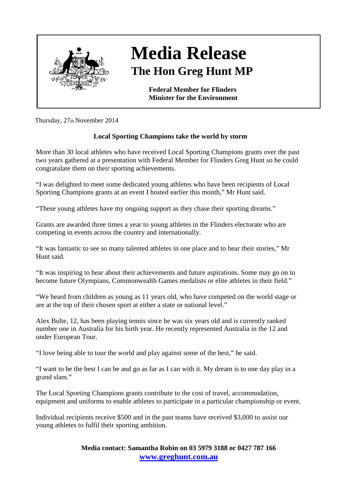

## **Media Release The Hon Greg Hunt MP**

**Federal Member for Flinders Minister for the Environment**

Thursday, 27th November 2014

## **Local Sporting Champions take the world by storm**

More than 30 local athletes who have received Local Sporting Champions grants over the past two years gathered at a presentation with Federal Member for Flinders Greg Hunt so he could congratulate them on their sporting achievements.

"I was delighted to meet some dedicated young athletes who have been recipients of Local Sporting Champions grants at an event I hosted earlier this month," Mr Hunt said.

"These young athletes have my ongoing support as they chase their sporting dreams."

Grants are awarded three times a year to young athletes in the Flinders electorate who are competing in events across the country and internationally.

"It was fantastic to see so many talented athletes in one place and to hear their stories," Mr Hunt said.

"It was inspiring to hear about their achievements and future aspirations. Some may go on to become future Olympians, Commonwealth Games medalists or elite athletes in their field."

"We heard from children as young as 11 years old, who have competed on the world stage or are at the top of their chosen sport at either a state or national level."

Alex Bulte, 12, has been playing tennis since he was six years old and is currently ranked number one in Australia for his birth year. He recently represented Australia in the 12 and under European Tour.

"I love being able to tour the world and play against some of the best," he said.

"I want to be the best I can be and go as far as I can with it. My dream is to one day play in a grand slam."

The Local Sporting Champions grants contribute to the cost of travel, accommodation, equipment and uniforms to enable athletes to participate in a particular championship or event.

Individual recipients receive \$500 and in the past teams have received \$3,000 to assist our young athletes to fulfil their sporting ambition.

> **Media contact: Samantha Robin on 03 5979 3188 or 0427 787 166 [www.greghunt.com.au](http://www.greghunt.com.au/)**